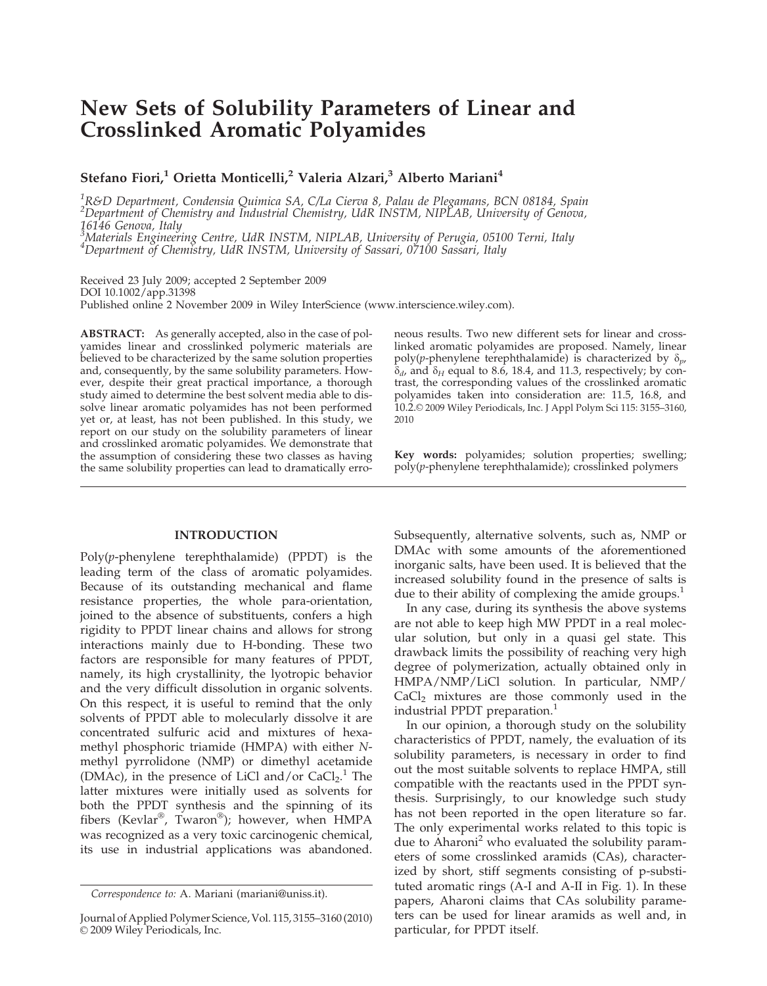# New Sets of Solubility Parameters of Linear and Crosslinked Aromatic Polyamides

Stefano Fiori,<sup>1</sup> Orietta Monticelli,<sup>2</sup> Valeria Alzari,<sup>3</sup> Alberto Mariani<sup>4</sup>

<sup>1</sup>R&D Department, Condensia Quimica SA, C/La Cierva 8, Palau de Plegamans, BCN 08184, Spain  $^2$ Department of Chemistry and Industrial Chemistry, UdR INSTM, NIPLAB, University of Genova, 16146 Genova, Italy

<sup>3</sup>Materials Engineering Centre, UdR INSTM, NIPLAB, University of Perugia, 05100 Terni, Italy<br><sup>4</sup>Department of Chemistry, UdR INSTM, University of Sassari, 07100 Sassari, Italy

Received 23 July 2009; accepted 2 September 2009 DOI 10.1002/app.31398 Published online 2 November 2009 in Wiley InterScience (www.interscience.wiley.com).

ABSTRACT: As generally accepted, also in the case of polyamides linear and crosslinked polymeric materials are believed to be characterized by the same solution properties and, consequently, by the same solubility parameters. However, despite their great practical importance, a thorough study aimed to determine the best solvent media able to dissolve linear aromatic polyamides has not been performed yet or, at least, has not been published. In this study, we report on our study on the solubility parameters of linear and crosslinked aromatic polyamides. We demonstrate that the assumption of considering these two classes as having the same solubility properties can lead to dramatically erro-

# INTRODUCTION

Poly(p-phenylene terephthalamide) (PPDT) is the leading term of the class of aromatic polyamides. Because of its outstanding mechanical and flame resistance properties, the whole para-orientation, joined to the absence of substituents, confers a high rigidity to PPDT linear chains and allows for strong interactions mainly due to H-bonding. These two factors are responsible for many features of PPDT, namely, its high crystallinity, the lyotropic behavior and the very difficult dissolution in organic solvents. On this respect, it is useful to remind that the only solvents of PPDT able to molecularly dissolve it are concentrated sulfuric acid and mixtures of hexamethyl phosphoric triamide (HMPA) with either Nmethyl pyrrolidone (NMP) or dimethyl acetamide (DMAc), in the presence of LiCl and/or  $CaCl<sub>2</sub>$ .<sup>1</sup> The latter mixtures were initially used as solvents for both the PPDT synthesis and the spinning of its fibers (Kevlar®, Twaron®); however, when HMPA was recognized as a very toxic carcinogenic chemical, its use in industrial applications was abandoned.

neous results. Two new different sets for linear and crosslinked aromatic polyamides are proposed. Namely, linear poly(p-phenylene terephthalamide) is characterized by  $\delta_{p}$ ,  $\delta_d$ , and  $\delta_H$  equal to 8.6, 18.4, and 11.3, respectively; by contrast, the corresponding values of the crosslinked aromatic polyamides taken into consideration are: 11.5, 16.8, and 10.2.© 2009 Wiley Periodicals, Inc. J Appl Polym Sci 115: 3155-3160, 2010

Key words: polyamides; solution properties; swelling;  $poly(p$ -phenylene terephthalamide); crosslinked polymers

Subsequently, alternative solvents, such as, NMP or DMAc with some amounts of the aforementioned inorganic salts, have been used. It is believed that the increased solubility found in the presence of salts is due to their ability of complexing the amide groups. $<sup>1</sup>$ </sup>

In any case, during its synthesis the above systems are not able to keep high MW PPDT in a real molecular solution, but only in a quasi gel state. This drawback limits the possibility of reaching very high degree of polymerization, actually obtained only in HMPA/NMP/LiCl solution. In particular, NMP/  $CaCl<sub>2</sub>$  mixtures are those commonly used in the industrial PPDT preparation.<sup>1</sup>

In our opinion, a thorough study on the solubility characteristics of PPDT, namely, the evaluation of its solubility parameters, is necessary in order to find out the most suitable solvents to replace HMPA, still compatible with the reactants used in the PPDT synthesis. Surprisingly, to our knowledge such study has not been reported in the open literature so far. The only experimental works related to this topic is due to Aharoni<sup>2</sup> who evaluated the solubility parameters of some crosslinked aramids (CAs), characterized by short, stiff segments consisting of p-substituted aromatic rings (A-I and A-II in Fig. 1). In these papers, Aharoni claims that CAs solubility parameters can be used for linear aramids as well and, in particular, for PPDT itself.

Correspondence to: A. Mariani (mariani@uniss.it).

Journal of Applied Polymer Science, Vol. 115, 3155–3160 (2010)  $©$  2009 Wiley Periodicals, Inc.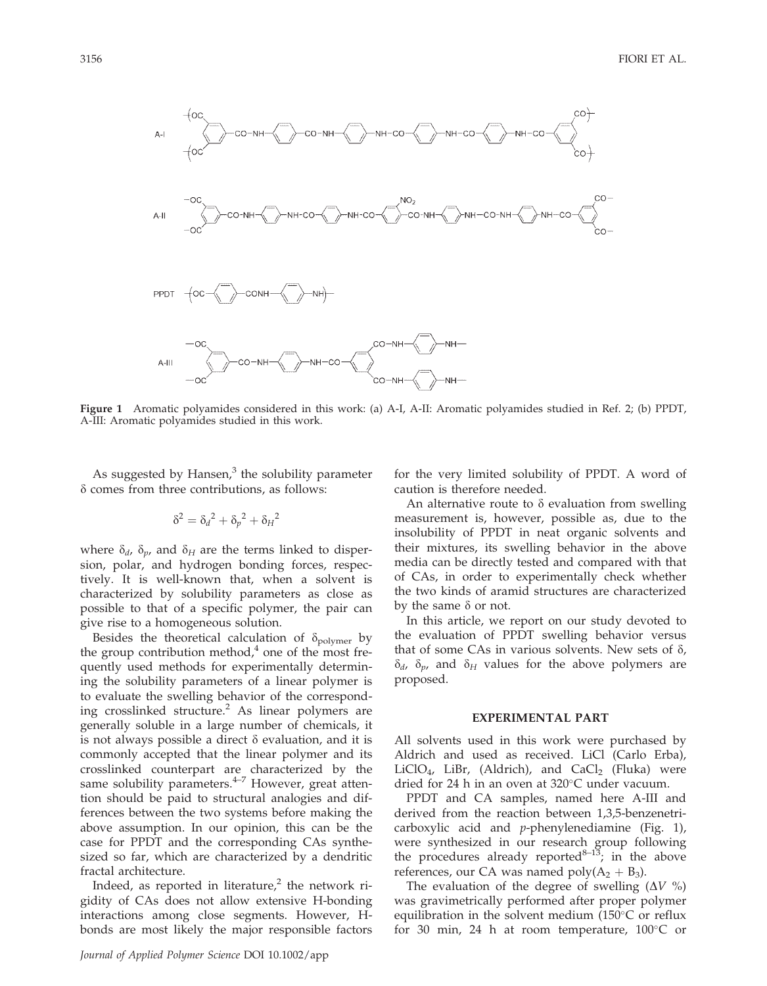

Figure 1 Aromatic polyamides considered in this work: (a) A-I, A-II: Aromatic polyamides studied in Ref. 2; (b) PPDT, A-III: Aromatic polyamides studied in this work.

As suggested by Hansen, $3$  the solubility parameter  $\delta$  comes from three contributions, as follows:

$$
\delta^2 = \delta_d^2 + \delta_p^2 + \delta_H^2
$$

where  $\delta_d$ ,  $\delta_p$ , and  $\delta_H$  are the terms linked to dispersion, polar, and hydrogen bonding forces, respectively. It is well-known that, when a solvent is characterized by solubility parameters as close as possible to that of a specific polymer, the pair can give rise to a homogeneous solution.

Besides the theoretical calculation of  $\delta_{\text{polymer}}$  by the group contribution method, $\alpha$  one of the most frequently used methods for experimentally determining the solubility parameters of a linear polymer is to evaluate the swelling behavior of the corresponding crosslinked structure.<sup>2</sup> As linear polymers are generally soluble in a large number of chemicals, it is not always possible a direct  $\delta$  evaluation, and it is commonly accepted that the linear polymer and its crosslinked counterpart are characterized by the same solubility parameters.<sup>4-7</sup> However, great attention should be paid to structural analogies and differences between the two systems before making the above assumption. In our opinion, this can be the case for PPDT and the corresponding CAs synthesized so far, which are characterized by a dendritic fractal architecture.

Indeed, as reported in literature, $\lambda$  the network rigidity of CAs does not allow extensive H-bonding interactions among close segments. However, Hbonds are most likely the major responsible factors for the very limited solubility of PPDT. A word of caution is therefore needed.

An alternative route to  $\delta$  evaluation from swelling measurement is, however, possible as, due to the insolubility of PPDT in neat organic solvents and their mixtures, its swelling behavior in the above media can be directly tested and compared with that of CAs, in order to experimentally check whether the two kinds of aramid structures are characterized by the same  $\delta$  or not.

In this article, we report on our study devoted to the evaluation of PPDT swelling behavior versus that of some CAs in various solvents. New sets of  $\delta$ ,  $\delta_d$ ,  $\delta_p$ , and  $\delta_H$  values for the above polymers are proposed.

### EXPERIMENTAL PART

All solvents used in this work were purchased by Aldrich and used as received. LiCl (Carlo Erba), LiClO<sub>4</sub>, LiBr, (Aldrich), and CaCl<sub>2</sub> (Fluka) were dried for 24 h in an oven at  $320^{\circ}$ C under vacuum.

PPDT and CA samples, named here A-III and derived from the reaction between 1,3,5-benzenetricarboxylic acid and  $p$ -phenylenediamine (Fig. 1), were synthesized in our research group following the procedures already reported $8-13$ ; in the above references, our CA was named  $poly(A_2 + B_3)$ .

The evaluation of the degree of swelling  $(\Delta V \%)$ was gravimetrically performed after proper polymer equilibration in the solvent medium  $(150^{\circ}C)$  or reflux for 30 min, 24 h at room temperature,  $100^{\circ}$ C or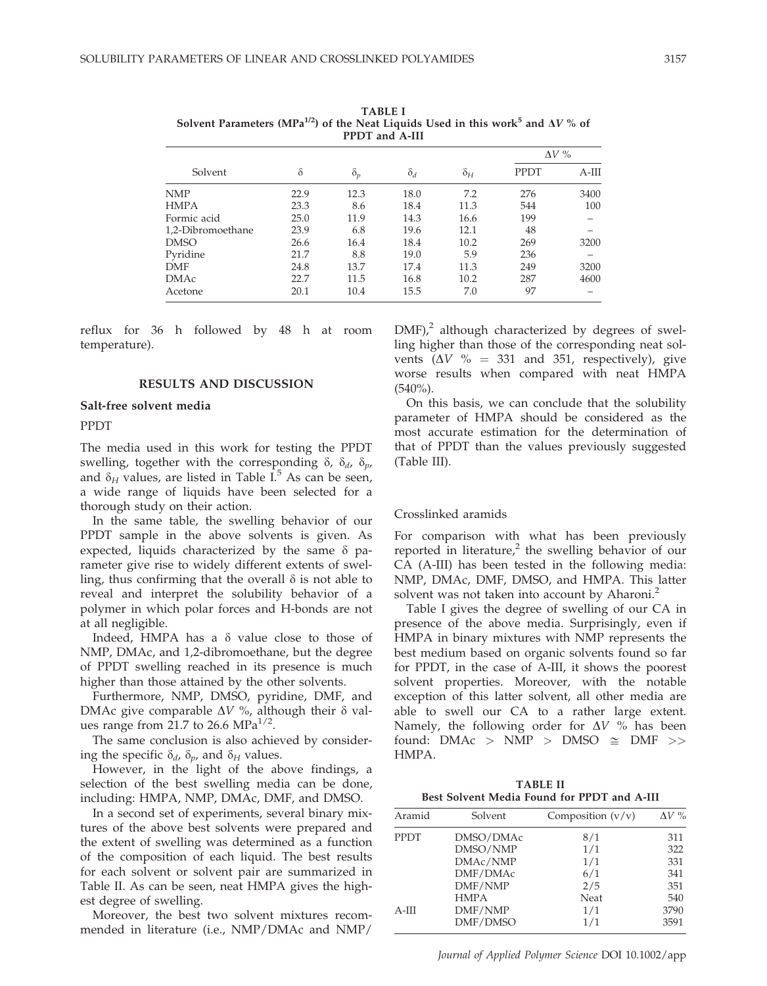| $\frac{1}{2}$ of $\frac{1}{2}$ and $\frac{1}{2}$ and $\frac{1}{2}$ and $\frac{1}{2}$ and $\frac{1}{2}$ and $\frac{1}{2}$ and $\frac{1}{2}$ and $\frac{1}{2}$ and $\frac{1}{2}$ and $\frac{1}{2}$ and $\frac{1}{2}$ and $\frac{1}{2}$ and $\frac{1}{2}$ and $\frac{1}{2}$ and $\frac{1}{2}$ an<br>PPDT and A-III |          |            |            |            |              |        |
|-----------------------------------------------------------------------------------------------------------------------------------------------------------------------------------------------------------------------------------------------------------------------------------------------------------------|----------|------------|------------|------------|--------------|--------|
|                                                                                                                                                                                                                                                                                                                 |          |            |            |            | $\Delta V$ % |        |
| Solvent                                                                                                                                                                                                                                                                                                         | $\delta$ | $\delta_p$ | $\delta_d$ | $\delta_H$ | <b>PPDT</b>  | $A-HI$ |
| <b>NMP</b>                                                                                                                                                                                                                                                                                                      | 22.9     | 12.3       | 18.0       | 7.2        | 276          | 3400   |
| <b>HMPA</b>                                                                                                                                                                                                                                                                                                     | 23.3     | 8.6        | 18.4       | 11.3       | 544          | 100    |
| Formic acid                                                                                                                                                                                                                                                                                                     | 25.0     | 11.9       | 14.3       | 16.6       | 199          |        |
| 1,2-Dibromoethane                                                                                                                                                                                                                                                                                               | 23.9     | 6.8        | 19.6       | 12.1       | 48           |        |
| <b>DMSO</b>                                                                                                                                                                                                                                                                                                     | 26.6     | 16.4       | 18.4       | 10.2       | 269          | 3200   |
| Pyridine                                                                                                                                                                                                                                                                                                        | 21.7     | 8.8        | 19.0       | 5.9        | 236          |        |
| <b>DMF</b>                                                                                                                                                                                                                                                                                                      | 24.8     | 13.7       | 17.4       | 11.3       | 249          | 3200   |
| <b>DMAc</b>                                                                                                                                                                                                                                                                                                     | 22.7     | 11.5       | 16.8       | 10.2       | 287          | 4600   |
| Acetone                                                                                                                                                                                                                                                                                                         | 20.1     | 10.4       | 15.5       | 7.0        | 97           |        |

TABLE I Solvent Parameters  $(MPa^{1/2})$  of the Neat Liquids Used in this work<sup>5</sup> and AV % of

reflux for 36 h followed by 48 h at room temperature).

# RESULTS AND DISCUSSION

### Salt-free solvent media

PPDT

The media used in this work for testing the PPDT swelling, together with the corresponding  $\delta$ ,  $\delta_d$ ,  $\delta_p$ , and  $\delta_H$  values, are listed in Table I.<sup>5</sup> As can be seen, a wide range of liquids have been selected for a thorough study on their action.

In the same table, the swelling behavior of our PPDT sample in the above solvents is given. As expected, liquids characterized by the same  $\delta$  parameter give rise to widely different extents of swelling, thus confirming that the overall  $\delta$  is not able to reveal and interpret the solubility behavior of a polymer in which polar forces and H-bonds are not at all negligible.

Indeed, HMPA has a  $\delta$  value close to those of NMP, DMAc, and 1,2-dibromoethane, but the degree of PPDT swelling reached in its presence is much higher than those attained by the other solvents.

Furthermore, NMP, DMSO, pyridine, DMF, and DMAc give comparable  $\Delta V$ %, although their  $\delta$  values range from 21.7 to 26.6  $MPa^{1/2}$ .

The same conclusion is also achieved by considering the specific  $\delta_d$ ,  $\delta_p$ , and  $\delta_H$  values.

However, in the light of the above findings, a selection of the best swelling media can be done, including: HMPA, NMP, DMAc, DMF, and DMSO.

In a second set of experiments, several binary mixtures of the above best solvents were prepared and the extent of swelling was determined as a function of the composition of each liquid. The best results for each solvent or solvent pair are summarized in Table II. As can be seen, neat HMPA gives the highest degree of swelling.

Moreover, the best two solvent mixtures recommended in literature (i.e., NMP/DMAc and NMP/

 $DMF$ ),<sup>2</sup> although characterized by degrees of swelling higher than those of the corresponding neat solvents ( $\Delta V$  % = 331 and 351, respectively), give worse results when compared with neat HMPA (540%).

On this basis, we can conclude that the solubility parameter of HMPA should be considered as the most accurate estimation for the determination of that of PPDT than the values previously suggested (Table III).

### Crosslinked aramids

For comparison with what has been previously reported in literature, $\lambda^2$  the swelling behavior of our CA (A-III) has been tested in the following media: NMP, DMAc, DMF, DMSO, and HMPA. This latter solvent was not taken into account by Aharoni.<sup>2</sup>

Table I gives the degree of swelling of our CA in presence of the above media. Surprisingly, even if HMPA in binary mixtures with NMP represents the best medium based on organic solvents found so far for PPDT, in the case of A-III, it shows the poorest solvent properties. Moreover, with the notable exception of this latter solvent, all other media are able to swell our CA to a rather large extent. Namely, the following order for  $\Delta V$  % has been found: DMAc > NMP > DMSO  $\cong$  DMF >> HMPA.

TABLE II Best Solvent Media Found for PPDT and A-III

| Aramid      | Solvent     | Composition $(v/v)$ | $\Lambda V$ % |
|-------------|-------------|---------------------|---------------|
| <b>PPDT</b> | DMSO/DMAc   | 8/1                 | 311           |
|             | DMSO/NMP    | 1/1                 | 322           |
|             | DMAc/NMP    | 1/1                 | 331           |
|             | DMF/DMAc    | 6/1                 | 341           |
|             | DMF/NMP     | 2/5                 | 351           |
|             | <b>HMPA</b> | Neat                | 540           |
| $A-III$     | DMF/NMP     | 1/1                 | 3790          |
|             | DMF/DMSO    | 1/1                 | 3591          |

Journal of Applied Polymer Science DOI 10.1002/app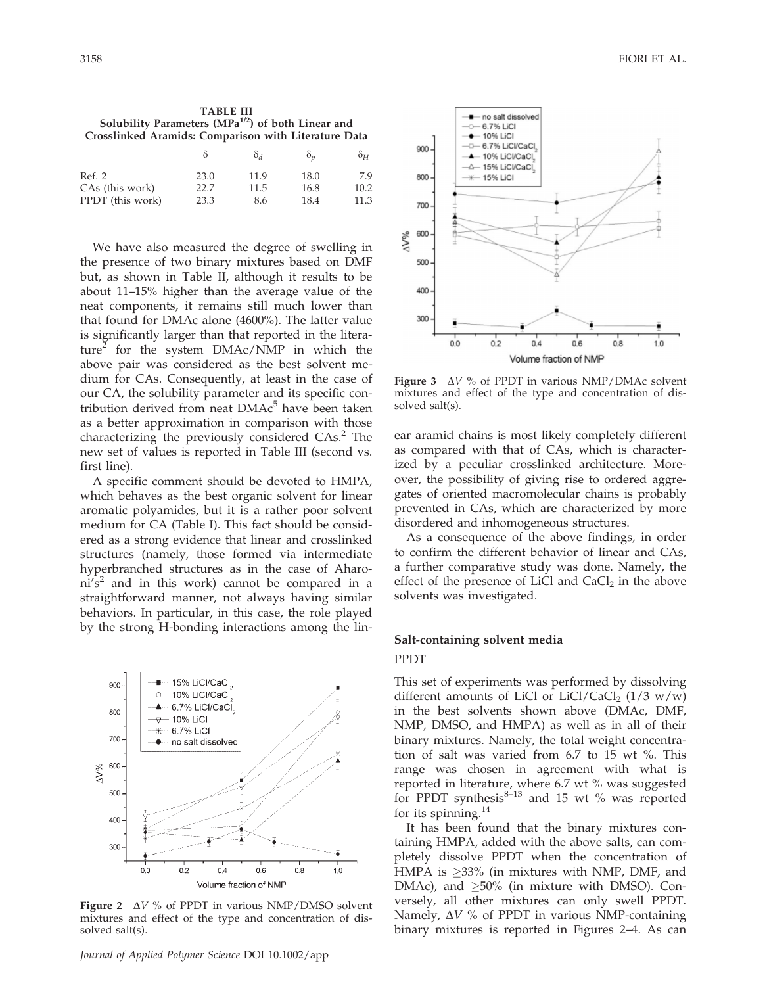| <b>TABLE III</b>                                         |
|----------------------------------------------------------|
| Solubility Parameters ( $MPa^{1/2}$ ) of both Linear and |
| Crosslinked Aramids: Comparison with Literature Data     |

|                  |      | O a  |      | $\delta_H$ |
|------------------|------|------|------|------------|
| Ref. 2           | 23.0 | 11.9 | 18.0 | 7.9        |
| CAs (this work)  | 22.7 | 11.5 | 16.8 | 10.2       |
| PPDT (this work) | 23.3 | 8.6  | 18.4 | 11.3       |

We have also measured the degree of swelling in the presence of two binary mixtures based on DMF but, as shown in Table II, although it results to be about 11–15% higher than the average value of the neat components, it remains still much lower than that found for DMAc alone (4600%). The latter value is significantly larger than that reported in the literature<sup>4</sup> for the system DMAc/NMP in which the above pair was considered as the best solvent medium for CAs. Consequently, at least in the case of our CA, the solubility parameter and its specific contribution derived from neat  $DMAc<sup>5</sup>$  have been taken as a better approximation in comparison with those characterizing the previously considered CAs.<sup>2</sup> The new set of values is reported in Table III (second vs. first line).

A specific comment should be devoted to HMPA, which behaves as the best organic solvent for linear aromatic polyamides, but it is a rather poor solvent medium for CA (Table I). This fact should be considered as a strong evidence that linear and crosslinked structures (namely, those formed via intermediate hyperbranched structures as in the case of Aharo $ni's<sup>2</sup>$  and in this work) cannot be compared in a straightforward manner, not always having similar behaviors. In particular, in this case, the role played by the strong H-bonding interactions among the lin-



Figure 2  $\Delta V$  % of PPDT in various NMP/DMSO solvent mixtures and effect of the type and concentration of dissolved salt(s).



Figure 3  $\Delta V$  % of PPDT in various NMP/DMAc solvent mixtures and effect of the type and concentration of dissolved salt(s).

ear aramid chains is most likely completely different as compared with that of CAs, which is characterized by a peculiar crosslinked architecture. Moreover, the possibility of giving rise to ordered aggregates of oriented macromolecular chains is probably prevented in CAs, which are characterized by more disordered and inhomogeneous structures.

As a consequence of the above findings, in order to confirm the different behavior of linear and CAs, a further comparative study was done. Namely, the effect of the presence of LiCl and  $CaCl<sub>2</sub>$  in the above solvents was investigated.

# Salt-containing solvent media

# PPDT

This set of experiments was performed by dissolving different amounts of LiCl or LiCl/CaCl<sub>2</sub> (1/3 w/w) in the best solvents shown above (DMAc, DMF, NMP, DMSO, and HMPA) as well as in all of their binary mixtures. Namely, the total weight concentration of salt was varied from 6.7 to 15 wt %. This range was chosen in agreement with what is reported in literature, where 6.7 wt % was suggested for PPDT synthesis $8-13$  and 15 wt % was reported for its spinning. $^{14}$ 

It has been found that the binary mixtures containing HMPA, added with the above salts, can completely dissolve PPDT when the concentration of HMPA is  $\geq$ 33% (in mixtures with NMP, DMF, and DMAc), and  $\geq 50\%$  (in mixture with DMSO). Conversely, all other mixtures can only swell PPDT. Namely,  $\Delta V$  % of PPDT in various NMP-containing binary mixtures is reported in Figures 2–4. As can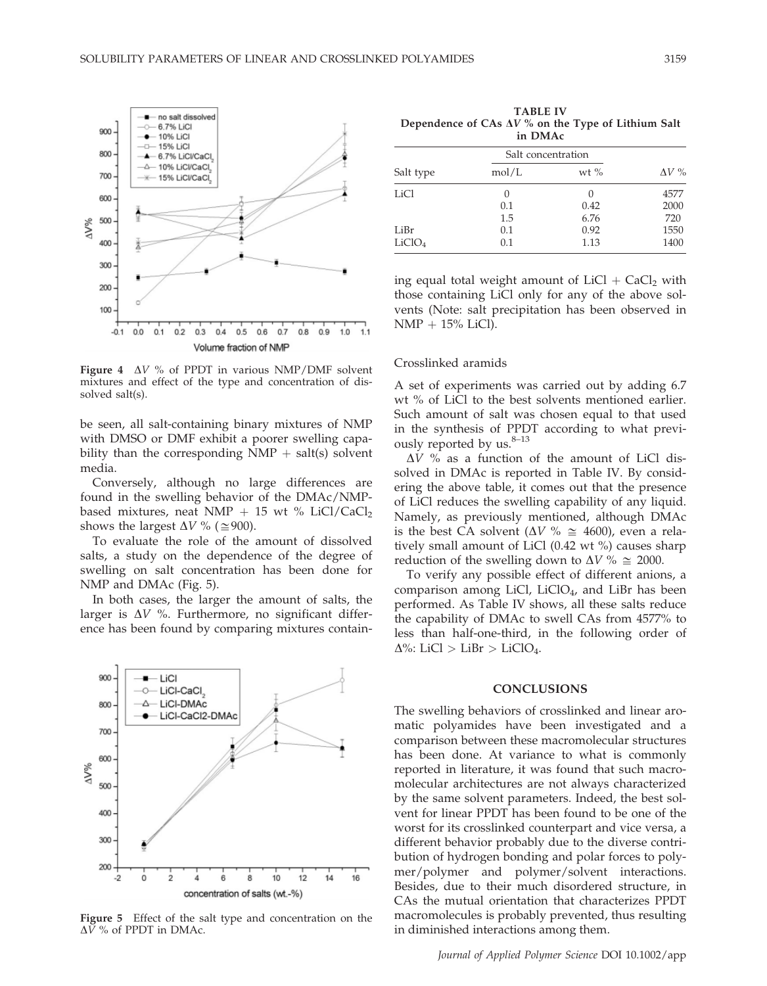

Figure 4  $\Delta V$  % of PPDT in various NMP/DMF solvent mixtures and effect of the type and concentration of dissolved salt(s).

be seen, all salt-containing binary mixtures of NMP with DMSO or DMF exhibit a poorer swelling capability than the corresponding  $NMP + salt(s)$  solvent media.

Conversely, although no large differences are found in the swelling behavior of the DMAc/NMPbased mixtures, neat NMP + 15 wt % LiCl/CaCl<sub>2</sub> shows the largest  $\Delta V$  % ( $\approx$ 900).

To evaluate the role of the amount of dissolved salts, a study on the dependence of the degree of swelling on salt concentration has been done for NMP and DMAc (Fig. 5).

In both cases, the larger the amount of salts, the larger is  $\Delta V$  %. Furthermore, no significant difference has been found by comparing mixtures contain-



Figure 5 Effect of the salt type and concentration on the  $\Delta V$  % of PPDT in DMAc.

TABLE IV Dependence of CAs  $\Delta V$ % on the Type of Lithium Salt in DMAc

|                    |            | Salt concentration       |              |  |
|--------------------|------------|--------------------------|--------------|--|
| Salt type          | mol/L      | wt $%$                   | $\Delta V$ % |  |
| LiCl               | 0<br>0.1   | $\left( \right)$<br>0.42 | 4577<br>2000 |  |
| LiBr               | 1.5<br>0.1 | 6.76<br>0.92             | 720<br>1550  |  |
| LiClO <sub>4</sub> | 0.1        | 1.13                     | 1400         |  |

ing equal total weight amount of  $LiCl + CaCl<sub>2</sub>$  with those containing LiCl only for any of the above solvents (Note: salt precipitation has been observed in  $NMP + 15\%$  LiCl).

#### Crosslinked aramids

A set of experiments was carried out by adding 6.7 wt % of LiCl to the best solvents mentioned earlier. Such amount of salt was chosen equal to that used in the synthesis of PPDT according to what previously reported by us. $8-13$ 

 $\Delta V$  % as a function of the amount of LiCl dissolved in DMAc is reported in Table IV. By considering the above table, it comes out that the presence of LiCl reduces the swelling capability of any liquid. Namely, as previously mentioned, although DMAc is the best CA solvent ( $\Delta V$  %  $\cong$  4600), even a relatively small amount of LiCl (0.42 wt %) causes sharp reduction of the swelling down to  $\Delta V$  %  $\cong$  2000.

To verify any possible effect of different anions, a comparison among LiCl, LiClO4, and LiBr has been performed. As Table IV shows, all these salts reduce the capability of DMAc to swell CAs from 4577% to less than half-one-third, in the following order of  $\Delta\%$ : LiCl > LiBr > LiClO<sub>4</sub>.

### **CONCLUSIONS**

The swelling behaviors of crosslinked and linear aromatic polyamides have been investigated and a comparison between these macromolecular structures has been done. At variance to what is commonly reported in literature, it was found that such macromolecular architectures are not always characterized by the same solvent parameters. Indeed, the best solvent for linear PPDT has been found to be one of the worst for its crosslinked counterpart and vice versa, a different behavior probably due to the diverse contribution of hydrogen bonding and polar forces to polymer/polymer and polymer/solvent interactions. Besides, due to their much disordered structure, in CAs the mutual orientation that characterizes PPDT macromolecules is probably prevented, thus resulting in diminished interactions among them.

Journal of Applied Polymer Science DOI 10.1002/app